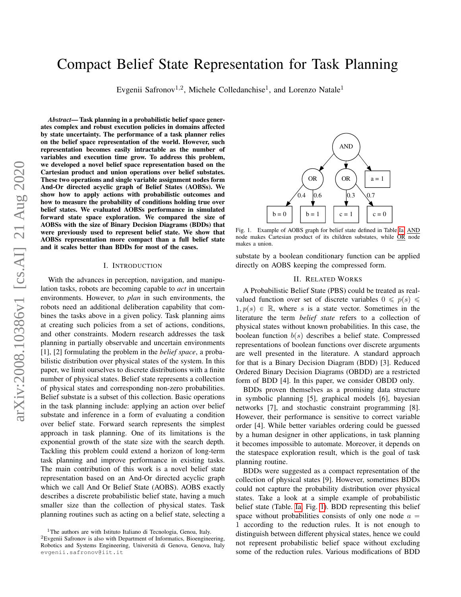# Compact Belief State Representation for Task Planning

Evgenii Safronov<sup>1,2</sup>, Michele Colledanchise<sup>1</sup>, and Lorenzo Natale<sup>1</sup>

*Abstract*— Task planning in a probabilistic belief space generates complex and robust execution policies in domains affected by state uncertainty. The performance of a task planner relies on the belief space representation of the world. However, such representation becomes easily intractable as the number of variables and execution time grow. To address this problem, we developed a novel belief space representation based on the Cartesian product and union operations over belief substates. These two operations and single variable assignment nodes form And-Or directed acyclic graph of Belief States (AOBSs). We show how to apply actions with probabilistic outcomes and how to measure the probability of conditions holding true over belief states. We evaluated AOBSs performance in simulated forward state space exploration. We compared the size of AOBSs with the size of Binary Decision Diagrams (BDDs) that were previously used to represent belief state. We show that AOBSs representation more compact than a full belief state and it scales better than BDDs for most of the cases.

#### I. INTRODUCTION

With the advances in perception, navigation, and manipulation tasks, robots are becoming capable to *act* in uncertain environments. However, to *plan* in such environments, the robots need an additional deliberation capability that combines the tasks above in a given policy. Task planning aims at creating such policies from a set of actions, conditions, and other constraints. Modern research addresses the task planning in partially observable and uncertain environments [1], [2] formulating the problem in the *belief space*, a probabilistic distribution over physical states of the system. In this paper, we limit ourselves to discrete distributions with a finite number of physical states. Belief state represents a collection of physical states and corresponding non-zero probabilities. Belief substate is a subset of this collection. Basic operations in the task planning include: applying an action over belief substate and inference in a form of evaluating a condition over belief state. Forward search represents the simplest approach in task planning. One of its limitations is the exponential growth of the state size with the search depth. Tackling this problem could extend a horizon of long-term task planning and improve performance in existing tasks. The main contribution of this work is a novel belief state representation based on an And-Or directed acyclic graph which we call And Or Belief State (AOBS). AOBS exactly describes a discrete probabilistic belief state, having a much smaller size than the collection of physical states. Task planning routines such as acting on a belief state, selecting a

<span id="page-0-0"></span>

Fig. 1. Example of AOBS graph for belief state defined in Table [Ia.](#page-1-0) AND node makes Cartesian product of its children substates, while OR node makes a union.

substate by a boolean conditionary function can be applied directly on AOBS keeping the compressed form.

## II. RELATED WORKS

<span id="page-0-1"></span>A Probabilistic Belief State (PBS) could be treated as realvalued function over set of discrete variables  $0 \leq p(s) \leq$  $1, p(s) \in \mathbb{R}$ , where s is a state vector. Sometimes in the literature the term *belief state* refers to a collection of physical states without known probabilities. In this case, the boolean function  $b(s)$  describes a belief state. Compressed representations of boolean functions over discrete arguments are well presented in the literature. A standard approach for that is a Binary Decision Diagram (BDD) [3]. Reduced Ordered Binary Decision Diagrams (OBDD) are a restricted form of BDD [4]. In this paper, we consider OBDD only.

BDDs proven themselves as a promising data structure in symbolic planning [5], graphical models [6], bayesian networks [7], and stochastic constraint programming [8]. However, their performance is sensitive to correct variable order [4]. While better variables ordering could be guessed by a human designer in other applications, in task planning it becomes impossible to automate. Moreover, it depends on the statespace exploration result, which is the goal of task planning routine.

BDDs were suggested as a compact representation of the collection of physical states [9]. However, sometimes BDDs could not capture the probability distribution over physical states. Take a look at a simple example of probabilistic belief state (Table. [Ia,](#page-1-0) Fig. [1\)](#page-0-0). BDD representing this belief space without probabilities consists of only one node  $a =$ 1 according to the reduction rules. It is not enough to distinguish between different physical states, hence we could not represent probabilistic belief space without excluding some of the reduction rules. Various modifications of BDD

<sup>1</sup>The authors are with Istituto Italiano di Tecnologia, Genoa, Italy.

<sup>2</sup>Evgenii Safronov is also with Department of Informatics, Bioengineering, Robotics and Systems Engineering, Universita di Genova, Genova, Italy ` evgenii.safronov@iit.it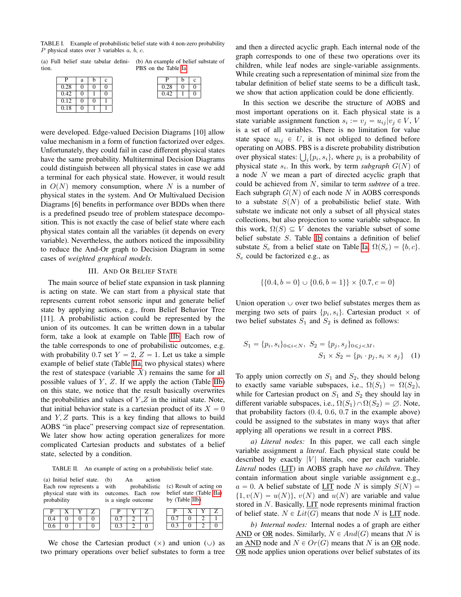<span id="page-1-0"></span>TABLE I. Example of probabilistic belief state with 4 non-zero probability P physical states over  $\overline{3}$  variables a, b, c.

(a) Full belief state tabular definition. (b) An example of belief substate of PBS on the Table [Ia.](#page-1-0)

 $P \mid b \mid c$  $0.28 \ 0 \ 0$  $0.42$ 

| P    | a | h | c  |  |
|------|---|---|----|--|
| 0.28 | 0 | 0 | 0  |  |
| 0.42 | 0 |   | ı, |  |
| 0.12 | 0 | 0 |    |  |
| 0.18 |   |   |    |  |

were developed. Edge-valued Decision Diagrams [10] allow value mechanism in a form of function factorized over edges. Unfortunately, they could fail in case different physical states have the same probability. Multiterminal Decision Diagrams could distinguish between all physical states in case we add a terminal for each physical state. However, it would result in  $O(N)$  memory consumption, where N is a number of physical states in the system. And Or Multivalued Decision Diagrams [6] benefits in performance over BDDs when there is a predefined pseudo tree of problem statespace decomposition. This is not exactly the case of belief state where each physical states contain all the variables (it depends on every variable). Nevertheless, the authors noticed the impossibility to reduce the And-Or graph to Decision Diagram in some cases of *weighted graphical models*.

#### III. AND OR BELIEF STATE

The main source of belief state expansion in task planning is acting on state. We can start from a physical state that represents current robot sensoric input and generate belief state by applying actions, e.g., from Belief Behavior Tree [11]. A probabilistic action could be represented by the union of its outcomes. It can be written down in a tabular form, take a look at example on Table [IIb.](#page-1-1) Each row of the table corresponds to one of probabilistic outcomes, e.g. with probability 0.7 set  $Y = 2$ ,  $Z = 1$ . Let us take a simple example of belief state (Table [IIa,](#page-1-1) two physical states) where the rest of statespace (variable  $X$ ) remains the same for all possible values of  $Y$ ,  $Z$ . If we apply the action (Table [IIb\)](#page-1-1) on this state, we notice that the result basically overwrites the probabilities and values of  $Y,Z$  in the initial state. Note, that initial behavior state is a cartesian product of its  $X = 0$ and Y, Z parts. This is a key finding that allows to build AOBS "in place" preserving compact size of representation. We later show how acting operation generalizes for more complicated Cartesian products and substates of a belief state, selected by a condition.

<span id="page-1-1"></span>TABLE II. An example of acting on a probabilistic belief state.

| (a) Initial belief state.<br>Each row represents a<br>probability |          |  | action<br>(b)<br>An<br>with<br>probabilistic<br>physical state with its outcomes. Each row<br>is a single outcome |     |  | (c) Result of acting on<br>belief state (Table IIa)<br>by (Table IIb) |     |          |   |  |
|-------------------------------------------------------------------|----------|--|-------------------------------------------------------------------------------------------------------------------|-----|--|-----------------------------------------------------------------------|-----|----------|---|--|
| р                                                                 |          |  |                                                                                                                   |     |  |                                                                       |     | х        |   |  |
| 0.4                                                               | 0        |  |                                                                                                                   | 0.7 |  |                                                                       | 0.7 | $\theta$ | 2 |  |
| 0.6                                                               | $\theta$ |  |                                                                                                                   | 0.3 |  |                                                                       | 0.3 |          |   |  |

We chose the Cartesian product  $(x)$  and union  $( \cup )$  as two primary operations over belief substates to form a tree and then a directed acyclic graph. Each internal node of the graph corresponds to one of these two operations over its children, while leaf nodes are single-variable assignments. While creating such a representation of minimal size from the tabular definition of belief state seems to be a difficult task, we show that action application could be done efficiently.

In this section we describe the structure of AOBS and most important operations on it. Each physical state is a state variable assignment function  $s_i := v_j = u_{ij} | v_j \in V$ , V is a set of all variables. There is no limitation for value state space  $u_{ij} \in U$ , it is not obliged to defined before operating on AOBS. PBS is a discrete probability distribution operating on AOBS. PBS is a discrete probability distribution<br>over physical states:  $\bigcup_i \{p_i, s_i\}$ , where  $p_i$  is a probability of physical state  $s_i$ . In this work, by term *subgraph*  $G(N)$  of a node N we mean a part of directed acyclic graph that could be achieved from N, similar to term *subtree* of a tree. Each subgraph  $G(N)$  of each node N in AOBS corresponds to a substate  $S(N)$  of a probabilistic belief state. With substate we indicate not only a subset of all physical states collections, but also projection to some variable subspace. In this work,  $\Omega(S) \subseteq V$  denotes the variable subset of some belief substate S. Table [Ib](#page-1-0) contains a definition of belief substate  $S_e$  from a belief state on Table [Ia,](#page-1-0)  $\Omega(S_e) = \{b, c\}.$  $S_e$  could be factorized e.g., as

$$
\{\{0.4, b = 0\} \cup \{0.6, b = 1\}\} \times \{0.7, c = 0\}
$$

Union operation  $\cup$  over two belief substates merges them as merging two sets of pairs  $\{p_i, s_i\}$ . Cartesian product  $\times$  of two belief substates  $S_1$  and  $S_2$  is defined as follows:

$$
S_1 = \{p_i, s_i\}_{0 \le i < N}, \ S_2 = \{p_j, s_j\}_{0 \le j < M}, \\
S_1 \times S_2 = \{p_i \cdot p_j, s_i \times s_j\} \tag{1}
$$

To apply union correctly on  $S_1$  and  $S_2$ , they should belong to exactly same variable subspaces, i.e.,  $\Omega(S_1) = \Omega(S_2)$ , while for Cartesian product on  $S_1$  and  $S_2$  they should lay in different variable subspaces, i.e.,  $\Omega(S_1) \cap \Omega(S_2) = \emptyset$ . Note, that probability factors (0.4, 0.6, 0.7 in the example above) could be assigned to the substates in many ways that after applying all operations we result in a correct PBS.

*a) Literal nodes:* In this paper, we call each single variable assignment a *literal*. Each physical state could be described by exactly  $|V|$  literals, one per each variable. *Literal* nodes (LIT) in AOBS graph have *no children*. They contain information about single variable assignment e.g.,  $a = 0$ . A belief substate of LIT node N is simply  $S(N) =$  $\{1, v(N) = u(N)\}\$ ,  $v(N)$  and  $u(N)$  are variable and value stored in  $N$ . Basically,  $LIT$  node represents minimal fraction of belief state.  $N \in Lit(G)$  means that node N is LIT node.

*b) Internal nodes:* Internal nodes a of graph are either AND or OR nodes. Similarly,  $N \in And(G)$  means that N is an AND node and  $N \in Or(G)$  means that N is an OR node. OR node applies union operations over belief substates of its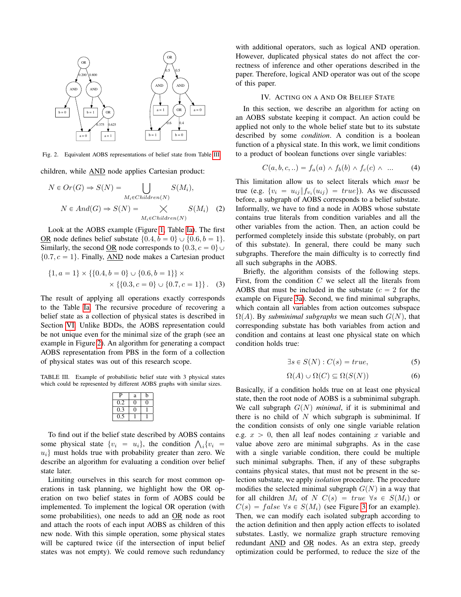<span id="page-2-1"></span>

Fig. 2. Equivalent AOBS representations of belief state from Table [III.](#page-2-0)

children, while AND node applies Cartesian product:

$$
N \in Or(G) \Rightarrow S(N) = \bigcup_{M_i \in Children(N)} S(M_i),
$$
  

$$
N \in And(G) \Rightarrow S(N) = \bigtimes_{M_i \in Children(N)} S(M_i) \quad (2)
$$

Look at the AOBS example (Figure [1,](#page-0-0) Table [Ia\)](#page-1-0). The first <u>OR</u> node defines belief substate  $\{0.4, b = 0\} \cup \{0.6, b = 1\}.$ Similarly, the second <u>OR</u> node corresponds to  $\{0.3, c = 0\}$  $\{0.7, c = 1\}$ . Finally, AND node makes a Cartesian product

$$
\{1, a = 1\} \times \{\{0.4, b = 0\} \cup \{0.6, b = 1\}\} \times \times \{\{0.3, c = 0\} \cup \{0.7, c = 1\}\}.
$$
 (3)

The result of applying all operations exactly corresponds to the Table [Ia.](#page-1-0) The recursive procedure of recovering a belief state as a collection of physical states is described in Section [VI.](#page-6-0) Unlike BDDs, the AOBS representation could be not unique even for the minimal size of the graph (see an example in Figure [2\)](#page-2-1). An algorithm for generating a compact AOBS representation from PBS in the form of a collection of physical states was out of this research scope.

<span id="page-2-0"></span>TABLE III. Example of probabilistic belief state with 3 physical states which could be represented by different AOBS graphs with similar sizes.

| P       | a  | b |
|---------|----|---|
| 0.2     | ۱) |   |
| 0.3     |    |   |
| 75<br>0 |    |   |

To find out if the belief state described by AOBS contains To find out if the belief state described by AOBS contains<br>some physical state  $\{v_i = u_i\}$ , the condition  $\bigwedge_i \{v_i =$  $u_i$ } must holds true with probability greater than zero. We describe an algorithm for evaluating a condition over belief state later.

Limiting ourselves in this search for most common operations in task planning, we highlight how the OR operation on two belief states in form of AOBS could be implemented. To implement the logical OR operation (with some probabilities), one needs to add an OR node as root and attach the roots of each input AOBS as children of this new node. With this simple operation, some physical states will be captured twice (if the intersection of input belief states was not empty). We could remove such redundancy with additional operators, such as logical AND operation. However, duplicated physical states do not affect the correctness of inference and other operations described in the paper. Therefore, logical AND operator was out of the scope of this paper.

#### IV. ACTING ON A AND OR BELIEF STATE

<span id="page-2-5"></span>In this section, we describe an algorithm for acting on an AOBS substate keeping it compact. An action could be applied not only to the whole belief state but to its substate described by some *condition*. A condition is a boolean function of a physical state. In this work, we limit conditions to a product of boolean functions over single variables:

<span id="page-2-4"></span>
$$
C(a, b, c, \ldots) = f_a(a) \wedge f_b(b) \wedge f_c(c) \wedge \ldots \qquad (4)
$$

This limitation allow us to select literals which *must* be true (e.g.  $\{v_i = u_{ij} \| f_{v_i}(u_{ij}) = true\}$ ). As we discussed before, a subgraph of AOBS corresponds to a belief substate. Informally, we have to find a node in AOBS whose substate contains true literals from condition variables and all the other variables from the action. Then, an action could be performed completely inside this substate (probably, on part of this substate). In general, there could be many such subgraphs. Therefore the main difficulty is to correctly find all such subgraphs in the AOBS.

Briefly, the algorithm consists of the following steps. First, from the condition  $C$  we select all the literals from AOBS that must be included in the substate  $(c = 2$  for the example on Figure [3a\)](#page-4-0). Second, we find minimal subgraphs, which contain all variables from action outcomes subspace  $\Omega(A)$ . By *subminimal subgraphs* we mean such  $G(N)$ , that corresponding substate has both variables from action and condition and contains at least one physical state on which condition holds true:

<span id="page-2-2"></span>
$$
\exists s \in S(N) : C(s) = true,
$$
 (5)

<span id="page-2-3"></span>
$$
\Omega(A) \cup \Omega(C) \subseteq \Omega(S(N)) \tag{6}
$$

Basically, if a condition holds true on at least one physical state, then the root node of AOBS is a subminimal subgraph. We call subgraph  $G(N)$  *minimal*, if it is subminimal and there is no child of  $N$  which subgraph is subminimal. If the condition consists of only one single variable relation e.g.  $x > 0$ , then all leaf nodes containing x variable and value above zero are minimal subgraphs. As in the case with a single variable condition, there could be multiple such minimal subgraphs. Then, if any of these subgraphs contains physical states, that must not be present in the selection substate, we apply *isolation* procedure. The procedure modifies the selected minimal subgraph  $G(N)$  in a way that for all children  $M_i$  of  $N$   $C(s) = true \ \forall s \in S(M_i)$  or  $C(s) = false \ \forall s \in S(M_i)$  (see Figure [3](#page-4-0) for an example). Then, we can modify each isolated subgraph according to the action definition and then apply action effects to isolated substates. Lastly, we normalize graph structure removing redundant AND and OR nodes. As an extra step, greedy optimization could be performed, to reduce the size of the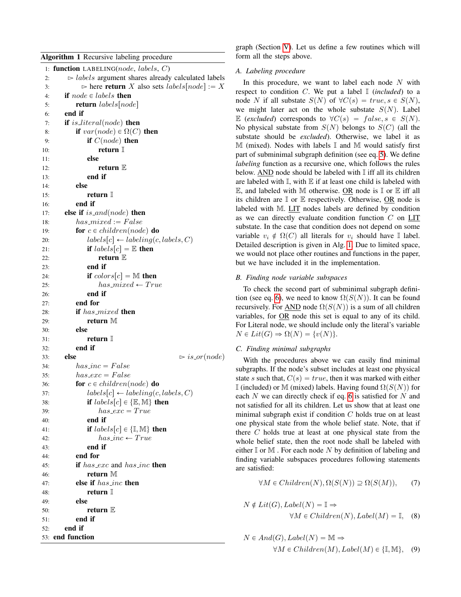<span id="page-3-0"></span>

|  |  |  |  | <b>Algorithm 1</b> Recursive labeling procedure |
|--|--|--|--|-------------------------------------------------|
|--|--|--|--|-------------------------------------------------|

|     | 1: function LABELING(node, labels, $C$ )                                  |
|-----|---------------------------------------------------------------------------|
| 2:  | $\triangleright$ labels argument shares already calculated labels         |
| 3:  | $\triangleright$ here <b>return</b> X also sets <i>labels</i> [node] := X |
| 4:  | <b>if</b> node $\in$ labels <b>then</b>                                   |
| 5:  | <b>return</b> labels node                                                 |
| 6:  | end if                                                                    |
| 7:  | <b>if</b> is_literal(node) <b>then</b>                                    |
| 8:  | if $var(node) \in \Omega(C)$ then                                         |
| 9:  | if $C(node)$ then                                                         |
| 10: | return $\mathbb I$                                                        |
| 11: | else                                                                      |
| 12: | return $E$                                                                |
| 13: | end if                                                                    |
| 14: | else                                                                      |
| 15: | return $\mathbb I$                                                        |
| 16: | end if                                                                    |
|     | else if $is\_and(node)$ then                                              |
| 17: | $has\_mixed := False$                                                     |
| 18: |                                                                           |
| 19: | for $c \in children(node)$ do                                             |
| 20: | $labels[c] \leftarrow labeling(c, labels, C)$                             |
| 21: | if $labels[c] = \mathbb{E}$ then                                          |
| 22: | return $E$                                                                |
| 23: | end if                                                                    |
| 24: | if $colors[c] = M$ then                                                   |
| 25: | $has\_mixed \leftarrow True$                                              |
| 26: | end if                                                                    |
| 27: | end for                                                                   |
| 28: | if has_mixed then                                                         |
| 29: | return M                                                                  |
| 30: | else                                                                      |
| 31: | return $\mathbb I$                                                        |
| 32: | end if                                                                    |
| 33: | else<br>$\triangleright$ is_or(node)                                      |
| 34: | $has\_inc=False$                                                          |
| 35: | $has\_exc = False$                                                        |
| 36: | for $c \in children(node)$ do                                             |
| 37: | $labels[c] \leftarrow labeling(c, labels, C)$                             |
| 38: | if $labels[c] \in \{\mathbb{E}, \mathbb{M}\}\)$ then                      |
| 39: | $has\_exc = True$                                                         |
| 40: | end if                                                                    |
| 41: | if $labels[c] \in \{\mathbb{I}, \mathbb{M}\}\)$ then                      |
| 42: | $has\_inc \leftarrow True$                                                |
| 43: | end if                                                                    |
| 44: | end for                                                                   |
| 45: | if has_exc and has_inc then                                               |
| 46: | return M                                                                  |
| 47: | else if <i>has_inc</i> then                                               |
| 48: | return ∏                                                                  |
| 49: | else                                                                      |
| 50: | return $E$                                                                |
| 51: | end if                                                                    |
| 52: | end if                                                                    |
|     | 53: end function                                                          |
|     |                                                                           |

graph (Section [V\)](#page-5-0). Let us define a few routines which will form all the steps above.

## <span id="page-3-1"></span>*A. Labeling procedure*

In this procedure, we want to label each node  $N$  with respect to condition  $C$ . We put a label  $\mathbb{I}$  *(included)* to a node N if all substate  $S(N)$  of  $\forall C(s) = true, s \in S(N)$ , we might later act on the whole substate  $S(N)$ . Label E (*excluded*) corresponds to  $\forall C(s) = false, s \in S(N)$ . No physical substate from  $S(N)$  belongs to  $S(C)$  (all the substate should be *excluded*). Otherwise, we label it as  $M$  (mixed). Nodes with labels  $\mathbb I$  and  $M$  would satisfy first part of subminimal subgraph definition (see eq. [5\)](#page-2-2). We define *labeling* function as a recursive one, which follows the rules below. AND node should be labeled with  $\mathbb I$  iff all its children are labeled with  $\mathbb{I}$ , with  $\mathbb{E}$  if at least one child is labeled with  $\mathbb E$ , and labeled with M otherwise. OR node is  $\mathbb I$  or  $\mathbb E$  iff all its children are I or E respectively. Otherwise, OR node is labeled with M. LIT nodes labels are defined by condition as we can directly evaluate condition function C on LIT substate. In the case that condition does not depend on some variable  $v_i \notin \Omega(C)$  all literals for  $v_i$  should have I label. Detailed description is given in Alg. [1.](#page-3-0) Due to limited space, we would not place other routines and functions in the paper, but we have included it in the implementation.

# *B. Finding node variable subspaces*

To check the second part of subminimal subgraph defini-tion (see eq. [6\)](#page-2-3), we need to know  $\Omega(S(N))$ . It can be found recursively. For AND node  $\Omega(S(N))$  is a sum of all children variables, for OR node this set is equal to any of its child. For Literal node, we should include only the literal's variable  $N \in Lit(G) \Rightarrow \Omega(N) = \{v(N)\}.$ 

# *C. Finding minimal subgraphs*

With the procedures above we can easily find minimal subgraphs. If the node's subset includes at least one physical state s such that,  $C(s) = true$ , then it was marked with either I (included) or M (mixed) labels. Having found  $\Omega(S(N))$  for each  $N$  we can directly check if eq. [6](#page-2-3) is satisfied for  $N$  and not satisfied for all its children. Let us show that at least one minimal subgraph exist if condition  $C$  holds true on at least one physical state from the whole belief state. Note, that if there C holds true at least at one physical state from the whole belief state, then the root node shall be labeled with either  $\mathbb I$  or  $\mathbb M$  . For each node  $N$  by definition of labeling and finding variable subspaces procedures following statements are satisfied:

$$
\forall M \in Children(N), \Omega(S(N)) \supseteq \Omega(S(M)), \tag{7}
$$

$$
N \notin Lit(G), Label(N) = \mathbb{I} \Rightarrow
$$
  

$$
\forall M \in Children(N), Label(M) = \mathbb{I}, \quad (8)
$$

$$
N \in And(G), Label(N) = \mathbb{M} \Rightarrow
$$
  

$$
\forall M \in Children(M), Label(M) \in \{\mathbb{I}, \mathbb{M}\}, \quad (9)
$$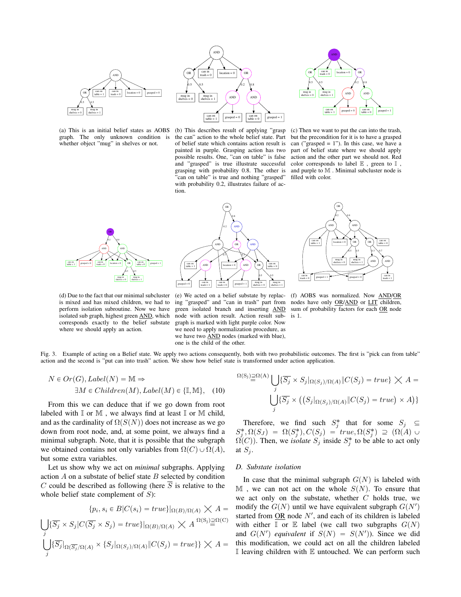<span id="page-4-0"></span>

(a) This is an initial belief states as AOBS graph. The only unknown condition is whether object "mug" in shelves or not.



(b) This describes result of applying "grasp the can" action to the whole belief state. Part of belief state which contains action result is painted in purple. Grasping action has two possible results. One, "can on table" is false and "grasped" is true illustrate successful grasping with probability 0.8. The other is "can on table" is true and nothing "grasped" with probability 0.2, illustrates failure of action.



(c) Then we want to put the can into the trash, but the precondition for it is to have a grasped can ("grasped  $= 1$ "). In this case, we have a part of belief state where we should apply action and the other part we should not. Red color corresponds to label  $E$  , green to  $I$  , and purple to M . Minimal subcluster node is filled with color.



(d) Due to the fact that our minimal subcluster is mixed and has mixed children, we had to perform isolation subroutine. Now we have isolated sub graph, highest green AND, which corresponds exactly to the belief substate where we should apply an action.



(e) We acted on a belief substate by replacing "grasped" and "can in trash" part from green isolated branch and inserting **AND** sum of probability factors for each OR node node with action result. Action result subgraph is marked with light purple color. Now we need to apply normalization procedure, as we have two AND nodes (marked with blue), one is the child of the other.



(f) AOBS was normalized. Now AND/OR nodes have only OR/AND or LIT children, is 1.

Fig. 3. Example of acting on a Belief state. We apply two actions consequently, both with two probabilistic outcomes. The first is "pick can from table" action and the second is "put can into trash" action. We show how belief state is transformed under action application.

$$
N \in Or(G), Label(N) = \mathbb{M} \Rightarrow
$$
  

$$
\exists M \in Children(M), Label(M) \in \{\mathbb{I}, \mathbb{M}\}, \quad (10)
$$

From this we can deduce that if we go down from root labeled with  $\mathbb I$  or  $\mathbb M$ , we always find at least  $\mathbb I$  or  $\mathbb M$  child, and as the cardinality of  $\Omega(S(N))$  does not increase as we go down from root node, and, at some point, we always find a minimal subgraph. Note, that it is possible that the subgraph we obtained contains not only variables from  $\Omega(C) \cup \Omega(A)$ , but some extra variables.

Let us show why we act on *minimal* subgraphs. Applying action  $A$  on a substate of belief state  $B$  selected by condition C could be described as following (here  $\overline{S}$  is relative to the whole belief state complement of  $S$ ):

$$
\{p_i, s_i \in B | C(s_i) = true\}|_{\Omega(B)/\Omega(A)} \times A =
$$
  

$$
\bigcup_j \{\overline{S_j} \times S_j | C(\overline{S_j} \times S_j) = true\}|_{\Omega(B)/\Omega(A)} \times A^{\Omega(S_j) \supseteq \Omega(C)}
$$
  

$$
\bigcup_j \{\overline{S_j}|_{\Omega(\overline{S_j}/\Omega(A)} \times \{S_j|_{\Omega(S_j)/\Omega(A)} \| C(S_j) = true\}\} \times A =
$$

$$
\Omega(S_j) \supseteq \Omega(A) \bigcup_j \{ \overline{S_j} \times S_j |_{\Omega(S_j)/\Omega(A)} \| C(S_j) = true \} \times A =
$$
  

$$
\bigcup_j \{ \overline{S_j} \times ((S_j |_{\Omega(S_j)/\Omega(A)} \| C(S_j) = true) \times A) \}
$$

Therefore, we find such  $S_j^*$  that for some  $S_j \subseteq$  $S_j^*, \Omega(S_j) = \Omega(S_j^*), C(S_j) = true, \Omega(S_j^*) \supseteq (\Omega(A) \cup$  $\Omega(C)$ ). Then, we *isolate*  $S_j$  inside  $S_j^*$  to be able to act only at  $S_j$ .

## *D. Substate isolation*

In case that the minimal subgraph  $G(N)$  is labeled with  $M$ , we can not act on the whole  $S(N)$ . To ensure that we act only on the substate, whether  $C$  holds true, we modify the  $G(N)$  until we have equivalent subgraph  $G(N')$ started from  $OR$  node  $N'$ , and each of its children is labeled with either  $\mathbb I$  or  $\mathbb E$  label (we call two subgraphs  $G(N)$ and  $G(N')$  equivalent if  $S(N) = S(N')$ ). Since we did this modification, we could act on all the children labeled I leaving children with  $E$  untouched. We can perform such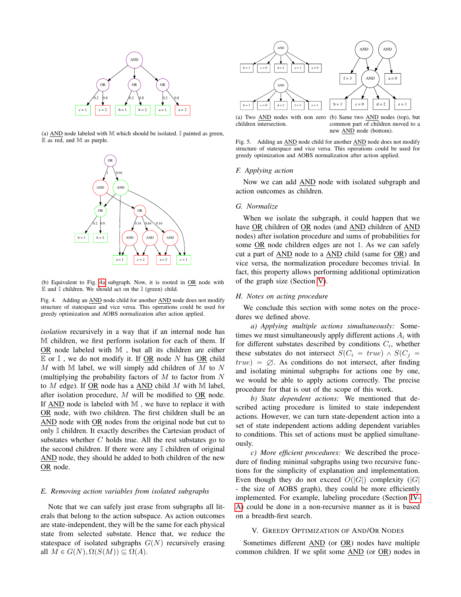<span id="page-5-1"></span>

(a)  $\overline{AND}$  node labeled with M which should be isolated. I painted as green, E as red, and M as purple.



(b) Equivalent to Fig. [4a](#page-5-1) subgraph. Now, it is rooted in OR node with  $E$  and  $I$  children. We should act on the  $I$  (green) child.

Fig. 4. Adding an AND node child for another AND node does not modify structure of statespace and vice versa. This operations could be used for greedy optimization and AOBS normalization after action applied.

*isolation* recursively in a way that if an internal node has M children, we first perform isolation for each of them. If OR node labeled with  $M$ , but all its children are either  $E$  or  $I$ , we do not modify it. If OR node N has OR child M with M label, we will simply add children of M to N (multiplying the probability factors of  $M$  to factor from  $N$ to  $M$  edge). If  $OR$  node has a  $AND$  child  $M$  with  $M$  label, after isolation procedure, M will be modified to OR node. If AND node is labeled with  $M$ , we have to replace it with OR node, with two children. The first children shall be an AND node with OR nodes from the original node but cut to only I children. It exactly describes the Cartesian product of substates whether  $C$  holds true. All the rest substates go to the second children. If there were any  $\mathbb I$  children of original AND node, they should be added to both children of the new OR node.

#### *E. Removing action variables from isolated subgraphs*

Note that we can safely just erase from subgraphs all literals that belong to the action subspace. As action outcomes are state-independent, they will be the same for each physical state from selected substate. Hence that, we reduce the statespace of isolated subgraphs  $G(N)$  recursively erasing all  $M \in G(N), \Omega(S(M)) \subseteq \Omega(A)$ .



(a) Two AND nodes with non zero children intersection. (b) Same two AND nodes (top), but common part of children moved to a new AND node (bottom).

Fig. 5. Adding an AND node child for another AND node does not modify structure of statespace and vice versa. This operations could be used for greedy optimization and AOBS normalization after action applied.

#### *F. Applying action*

Now we can add AND node with isolated subgraph and action outcomes as children.

## *G. Normalize*

When we isolate the subgraph, it could happen that we have OR children of OR nodes (and AND children of AND nodes) after isolation procedure and sums of probabilities for some OR node children edges are not 1. As we can safely cut a part of AND node to a AND child (same for OR) and vice versa, the normalization procedure becomes trivial. In fact, this property allows performing additional optimization of the graph size (Section [V\)](#page-5-0).

#### *H. Notes on acting procedure*

We conclude this section with some notes on the procedures we defined above.

*a) Applying multiple actions simultaneously:* Sometimes we must simultaneously apply different actions  $A_i$  with for different substates described by conditions  $C_i$ , whether these substates do not intersect  $S(C_i = true) \wedge S(C_j =$  $true$  =  $\emptyset$ . As conditions do not intersect, after finding and isolating minimal subgraphs for actions one by one, we would be able to apply actions correctly. The precise procedure for that is out of the scope of this work.

*b) State dependent actions:* We mentioned that described acting procedure is limited to state independent actions. However, we can turn state-dependent action into a set of state independent actions adding dependent variables to conditions. This set of actions must be applied simultaneously.

*c) More efficient procedures:* We described the procedure of finding minimal subgraphs using two recursive functions for the simplicity of explanation and implementation. Even though they do not exceed  $O(|G|)$  complexity (|G| - the size of AOBS graph), they could be more efficiently implemented. For example, labeling procedure (Section [IV-](#page-3-1)[A\)](#page-3-1) could be done in a non-recursive manner as it is based on a breadth-first search.

### V. GREEDY OPTIMIZATION OF AND/OR NODES

<span id="page-5-0"></span>Sometimes different AND (or OR) nodes have multiple common children. If we split some AND (or OR) nodes in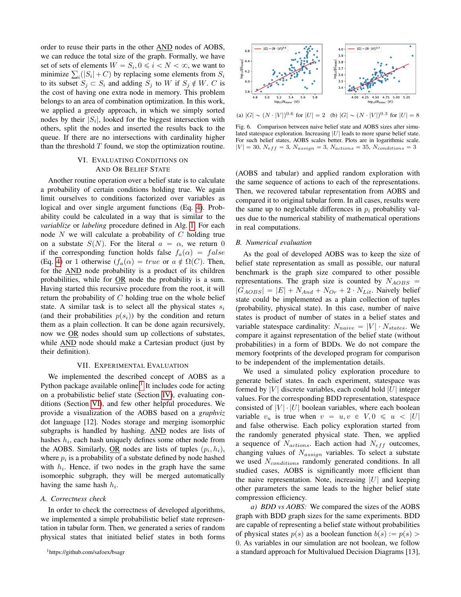order to reuse their parts in the other AND nodes of AOBS, we can reduce the total size of the graph. Formally, we have set of sets of elements  $W = S_i, 0 \leq i < N < \infty$ , we want to set of sets of elements  $W = S_i, 0 \le i < N < \infty$ , we want to minimize  $\sum_i (|S_i| + C)$  by replacing some elements from  $S_i$ to its subset  $S_j \subset S_i$  and adding  $S_j$  to W if  $S_j \notin W$ . C is the cost of having one extra node in memory. This problem belongs to an area of combination optimization. In this work, we applied a greedy approach, in which we simply sorted nodes by their  $|S_i|$ , looked for the biggest intersection with others, split the nodes and inserted the results back to the queue. If there are no intersections with cardinality higher than the threshold  $T$  found, we stop the optimization routine.

# VI. EVALUATING CONDITIONS ON AND OR BELIEF STATE

<span id="page-6-0"></span>Another routine operation over a belief state is to calculate a probability of certain conditions holding true. We again limit ourselves to conditions factorized over variables as logical and over single argument functions (Eq. [4\)](#page-2-4). Probability could be calculated in a way that is similar to the *variablize* or *labeling* procedure defined in Alg. [1.](#page-3-0) For each node  $N$  we will calculate a probability of  $C$  holding true on a substate  $S(N)$ . For the literal  $\alpha = \alpha$ , we return 0 if the corresponding function holds false  $f_a(\alpha) = false$ (Eq. [4\)](#page-2-4) or 1 otherwise  $(f_a(\alpha) = true \text{ or } a \notin \Omega(C)$ . Then, for the AND node probability is a product of its children probabilities, while for OR node the probability is a sum. Having started this recursive procedure from the root, it will return the probability of C holding true on the whole belief state. A similar task is to select all the physical states  $s_i$ (and their probabilities  $p(s_i)$ ) by the condition and return them as a plain collection. It can be done again recursively, now we OR nodes should sum up collections of substates, while **AND** node should make a Cartesian product (just by their definition).

#### VII. EXPERIMENTAL EVALUATION

We implemented the described concept of AOBS as a Python package available online.<sup>[1](#page-6-1)</sup> It includes code for acting on a probabilistic belief state (Section [IV\)](#page-2-5), evaluating conditions (Section [VI\)](#page-6-0), and few other helpful procedures. We provide a visualization of the AOBS based on a *graphviz* dot language [12]. Nodes storage and merging isomorphic subgraphs is handled by hashing. AND nodes are lists of hashes  $h_i$ , each hash uniquely defines some other node from the AOBS. Similarly,  $\underline{OR}$  nodes are lists of tuples  $(p_i, h_i)$ , where  $p_i$  is a probability of a substate defined by node hashed with  $h_i$ . Hence, if two nodes in the graph have the same isomorphic subgraph, they will be merged automatically having the same hash  $h_i$ .

## *A. Correctness check*

In order to check the correctness of developed algorithms, we implemented a simple probabilistic belief state representation in tabular form. Then, we generated a series of random physical states that initiated belief states in both forms

<span id="page-6-2"></span>

(a)  $|G| \sim (N \cdot |V|)^{0.6}$  for  $|U| = 2$  (b)  $|G| \sim (N \cdot |V|)^{0.3}$  for  $|U| = 8$ 

Fig. 6. Comparison between naive belief state and AOBS sizes after simulated statespace exploration. Increasing  $|U|$  leads to more sparse belief state. For such belief states, AOBS scales better. Plots are in logarithmic scale.  $|V| = 30$ ,  $N_{eff} = 3$ ,  $N_{assign} = 3$ ,  $N_{actions} = 35$ ,  $N_{conditions} = 3$ 

(AOBS and tabular) and applied random exploration with the same sequence of actions to each of the representations. Then, we recovered tabular representation from AOBS and compared it to original tabular form. In all cases, results were the same up to neglectable differences in  $p_i$  probability values due to the numerical stability of mathematical operations in real computations.

#### *B. Numerical evaluation*

As the goal of developed AOBS was to keep the size of belief state representation as small as possible, our natural benchmark is the graph size compared to other possible representations. The graph size is counted by  $N_{AOBS}$  =  $|G_{AOBS}| = |E| + N_{And} + N_{Or} + 2 \cdot N_{Lit}$ . Naively belief state could be implemented as a plain collection of tuples (probability, physical state). In this case, number of naive states is product of number of states in a belief states and variable statespace cardinality:  $N_{naive} = |V| \cdot N_{states}$ . We compare it against representation of the belief state (without probabilities) in a form of BDDs. We do not compare the memory footprints of the developed program for comparison to be independent of the implementation details.

We used a simulated policy exploration procedure to generate belief states. In each experiment, statespace was formed by |V| discrete variables, each could hold  $|U|$  integer values. For the corresponding BDD representation, statespace consisted of  $|V| \cdot |U|$  boolean variables, where each boolean variable  $v_u$  is true when  $v = u, v \in V, 0 \le u \le |U|$ and false otherwise. Each policy exploration started from the randomly generated physical state. Then, we applied a sequence of  $N_{actions}$ . Each action had  $N_{eff}$  outcomes, changing values of  $N_{assign}$  variables. To select a substate we used  $N_{conditions}$  randomly generated conditions. In all studied cases, AOBS is significantly more efficient than the naive representation. Note, increasing  $|U|$  and keeping other parameters the same leads to the higher belief state compression efficiency.

*a) BDD vs AOBS:* We compared the sizes of the AOBS graph with BDD graph sizes for the same experiments. BDD are capable of representing a belief state without probabilities of physical states  $p(s)$  as a boolean function  $b(s) := p(s)$ 0. As variables in our simulation are not boolean, we follow a standard approach for Multivalued Decision Diagrams [13],

<span id="page-6-1"></span><sup>1</sup>https://github.com/safoex/bsagr